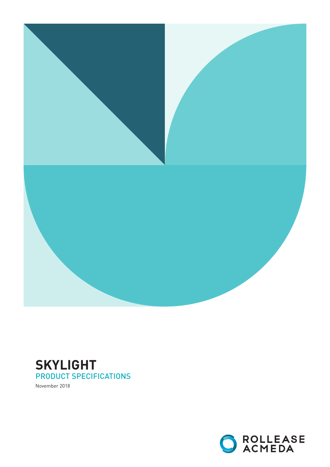

# **SKYLIGHT** PRODUCT SPECIFICATIONS

November 2018

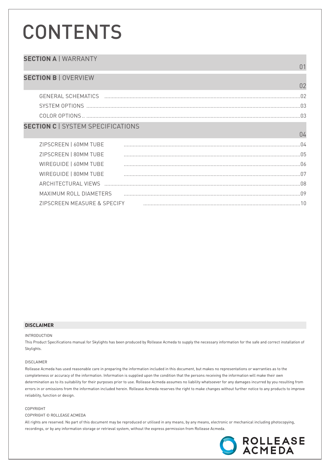# **CONTENTS**

### **SECTION A | WARRANTY**  $01$ **SECTION B | OVERVIEW**  $02$  $\Box$ COLOR OPTIONS **SECTION C | SYSTEM SPECIFICATIONS** 04 ZIPSCREEN | 60MM TUBE ZIPSCREEN | 80MM TUBE WIREGUIDE | 60MM TUBE WIRFGUIDE | 80MM TUBF

### MAXIMUM ROLL DIAMETERS ZIPSCREEN MEASURE & SPECIFY

### **DISCLAIMER**

#### **INTRODUCTION**

This Product Specifications manual for Skylights has been produced by Rollease Acmeda to supply the necessary information for the safe and correct installation of Skylights.

#### DISCLAIMER

Rollease Acmeda has used reasonable care in preparing the information included in this document, but makes no representations or warranties as to the completeness or accuracy of the information. Information is supplied upon the condition that the persons receiving the information will make their own determination as to its suitability for their purposes prior to use. Rollease Acmeda assumes no liability whatsoever for any damages incurred by you resulting from errors in or omissions from the information included herein. Rollease Acmeda reserves the right to make changes without further notice to any products to improve reliability, function or design.

#### COPYRIGHT

#### COPYRIGHT © ROLLEASE ACMEDA

All rights are reserved. No part of this document may be reproduced or utilised in any means, by any means, electronic or mechanical including photocopying, recordings, or by any information storage or retrieval system, without the express permission from Rollease Acmeda.

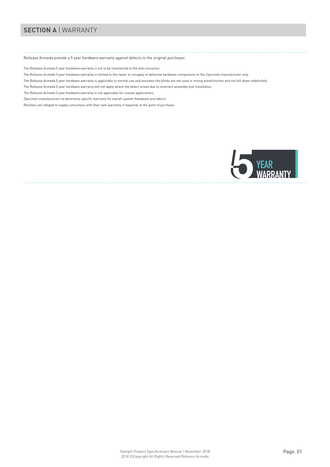# **SECTION A** | WARRANTY

### Rollease Acmeda provide a 5 year hardware warranty against defects to the original purchaser.

The Rollease Acmeda 5 year hardware warranty is not to be transferred to the end consumer.

- The Rollease Acmeda 5 year hardware warranty is limited to the repair or resupply of defective hardware components to the Zipscreen manufacturer only.
- The Rollease Acmeda 5 year hardware warranty is applicable to normal use and assumes the blinds are not used in strong winds/storms and not left down indefinitely.
- The Rollease Acmeda 5 year hardware warranty will not apply where the defect arises due to incorrect assembly and installation.
- The Rollease Acmeda 5 year hardware warranty is not applicable for coastal applications.
- Zipscreen manufacturers to determine specific warranty for overall system (hardware and fabric).

Retailers are obliged to supply consumers with their own warranty, if required, at the point of purchase.

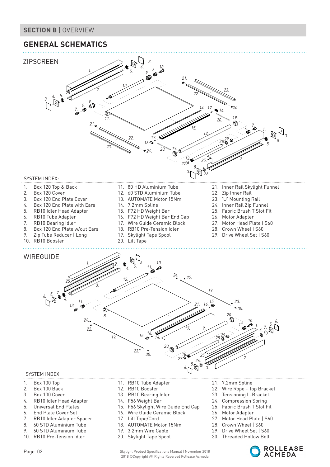### **SECTION B** | OVERVIEW

# **GENERAL SCHEMATICS**



- 3. Box 100 Cover
- 4. RB10 Idler Head Adapter
- 5. Universal End Plates
- 6. End Plate Cover Set
- 7. RB10 Idler Adapter Spacer
- 8. 60 STD Aluminium Tube
- 9. 60 STD Aluminium Tube
- 10. RB10 Pre-Tension Idler
- 
- 13. RB10 Bearing Idler
- 14. F56 Weight Bar
- 15. F56 Skylight Wire Guide End Cap
- 16. Wire Guide Ceramic Block
- 17. Lift Tape/Cord
- 18. AUTOMATE Motor 15Nm
- 19. 3.2mm Wire Cable
- 20. Skylight Tape Spool

Page. 02 Skylight Product Specifications Manual | November 2018 2018 ©Copyright All Rights Reserved Rollease Acmeda

- 23. Tensioning L-Bracket
- 24. Compression Spring
- 25. Fabric Brush T Slot Fit
- 26. Motor Adapter
- 27. Motor Head Plate | S60
- 28. Crown Wheel | S60
- 29. Drive Wheel Set | S60
- 30. Threaded Hollow Bolt

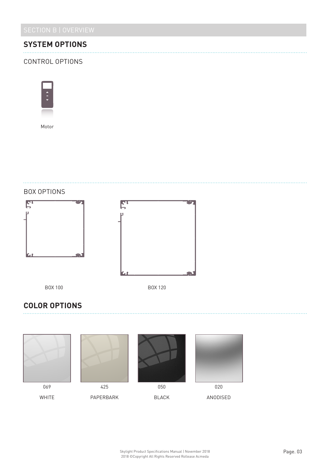# **SYSTEM OPTIONS**

### CONTROL OPTIONS



Motor







# **COLOR OPTIONS**

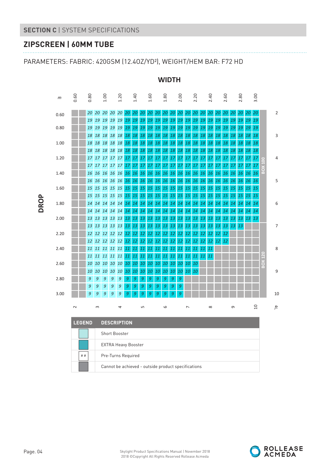# **ZIPSCREEN | 60MM TUBE**

PARAMETERS: FABRIC: 420GSM (12.4OZ/YD²), WEIGHT/HEM BAR: F72 HD





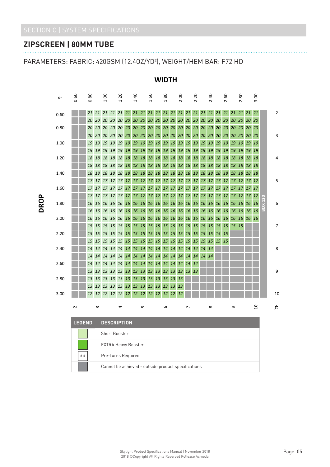# **ZIPSCREEN | 80MM TUBE**

PARAMETERS: FABRIC: 420GSM (12.4OZ/YD²), WEIGHT/HEM BAR: F72 HD



### **WIDTH**

Cannot be achieved - outside product specifications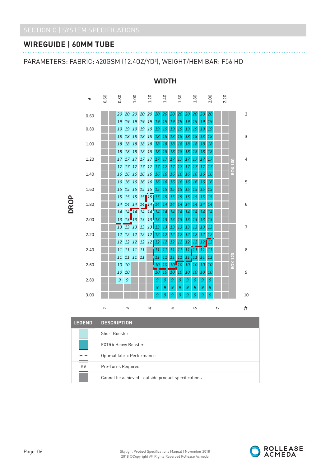# **WIREGUIDE | 60MM TUBE**

### PARAMETERS: FABRIC: 420GSM (12.4OZ/YD²), WEIGHT/HEM BAR: F56 HD



### **WIDTH**

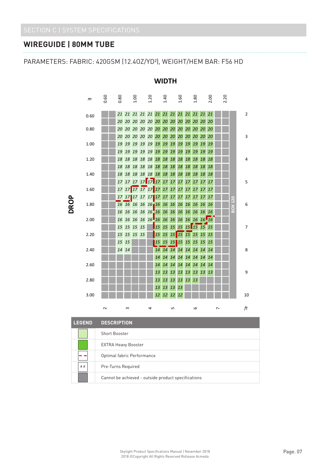# **WIREGUIDE | 80MM TUBE**

PARAMETERS: FABRIC: 420GSM (12.4OZ/YD²), WEIGHT/HEM BAR: F56 HD



### **WIDTH**

| <b>LEGEND</b> | <b>DESCRIPTION.</b>                                 |
|---------------|-----------------------------------------------------|
|               | <b>Short Booster</b>                                |
|               | <b>EXTRA Heavy Booster</b>                          |
|               | Optimal fabric Performance                          |
| # #           | Pre-Turns Required                                  |
|               | Cannot be achieved - outside product specifications |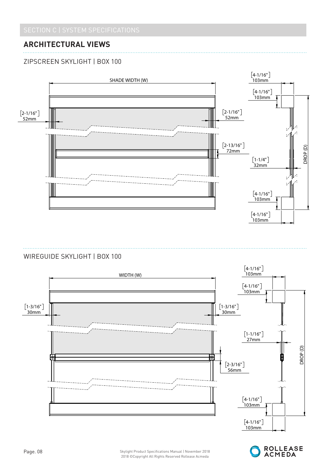# **ARCHITECTURAL VIEWS**

# ZIPSCREEN SKYLIGHT | BOX 100



### WIREGUIDE SKYLIGHT | BOX 100



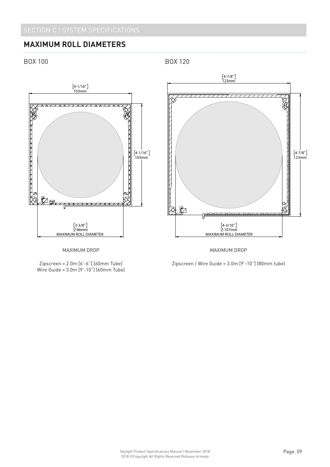B

l.

# **MAXIMUM ROLL DIAMETERS**

BOX 100

B

l.

BOX 120





MAXIMUM DROP

 $W$ ire Guide = 3.0m [9'-10"] (60mm Tube) Zipscreen = 2.0m [6'-6"] [60mm Tube] Wire Guide = 3.0m [9'-10"] (60mm Tube)

 $Zipscreen / Wire Guide = 3.0m [9'-10'']$  (80mm tube)